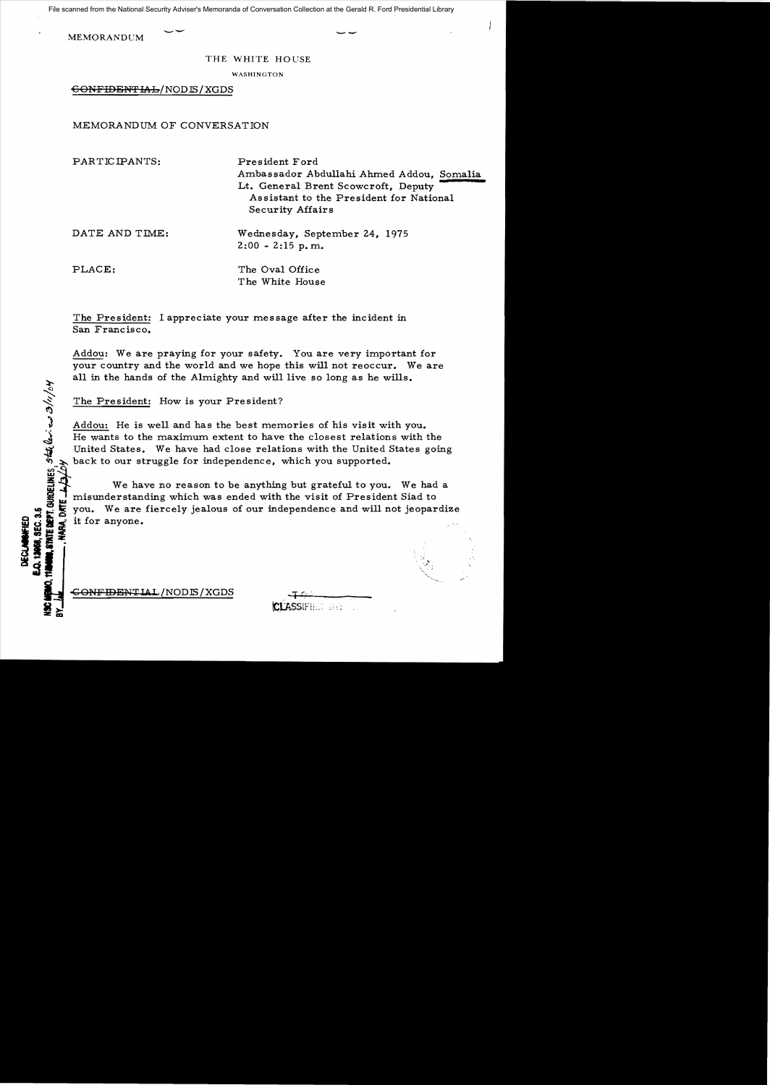File scanned from the National Security Adviser's Memoranda of Conversation Collection at the Gerald R. Ford Presidential Library

MEMORANDUM --

 $\tilde{\mathcal{L}}$ 

DECLANSWHED<br>0.12068, SEC. 3.

**axes**, se<br>**6.** amie<br>**hart** 

\_ 25 |

## THE WHITE HOUSE

WASHINGTON

6ONFIDENTIAL/NODIS/XGDS

MEMORANDUM OF CONVERSATION

PARTICIPANTS: President Ford Ambassador Abdullahi Ahmed Addou, Somalia Lt. General Brent Scowcroft, Deputy Assistant to the President for National Security Affairs DATE AND TIME: Wednesday, September 24, 1975  $2:00 - 2:15$  p.m. PLACE: The Oval Office The White House

The President: I appreciate your message after the incident in San Francisco.

Addou: We are praying for your safety. You are very important for your country and the world and we hope this will not reoccur. We are all in the hands of the Almighty and will live so long as he wills.

The President: How is your President?

) Addou: He is well and has the best memories of his visit with you.<br>He wants to the maximum extent to have the closest relations with the United States. We have had close relations with the United States going back to our struggle for independence, which you supported.

We have no reason to be anything but grateful to you. We had a I misunderstanding which was ended with the visit of President Siad to you. We are fiercely jealous of our independence and will not jeopar<br>it for anyone.  $\frac{1}{2}$   $\frac{1}{2}$   $\frac{1}{2}$  you. We are fiercely jealous of our independence and will not jeopardize  $\frac{1}{2}$  it for anyone.

 $\overline{GONFIDENTLAL}/\text{NODIS}/\text{XGDS}$ 

| <b>CLASSIFIED BET</b> |  |  |
|-----------------------|--|--|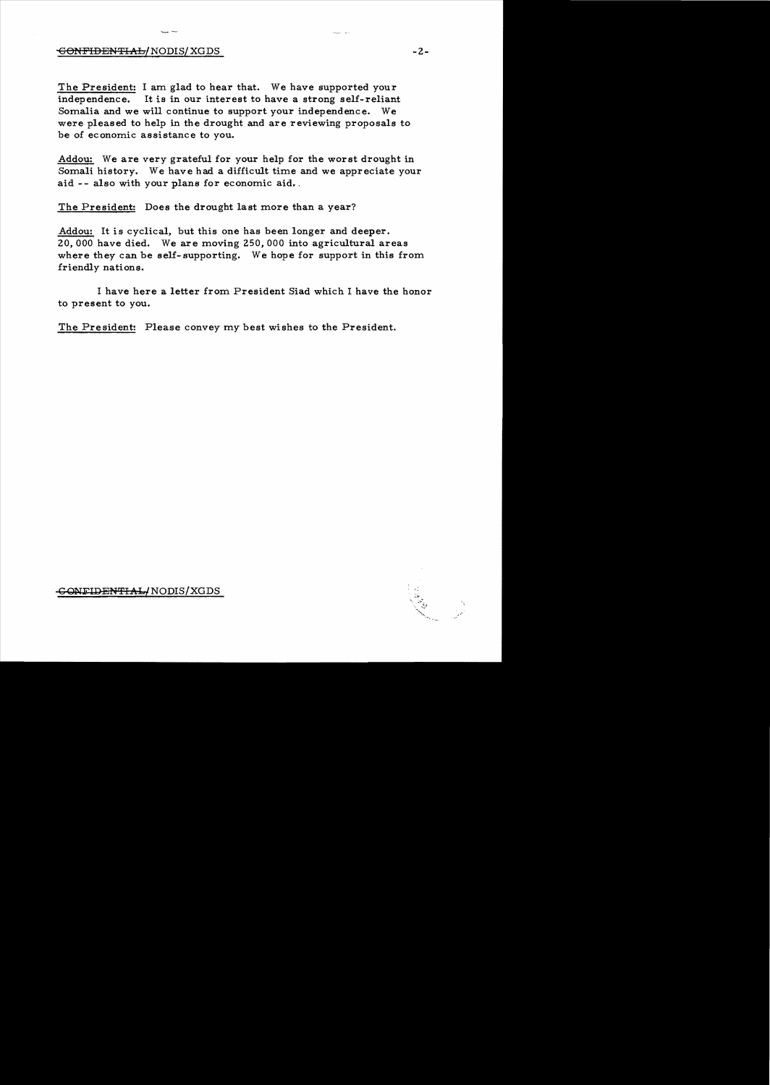## -G<del>ONFIDENTIAL/</del> NODIS/ XGDS -2 -2

The President: I am glad to hear that. We have supported your independence. It is in our interest to have a strong self-reliant Somalia **and** we will continue to support your independence. We were pleased to help in the drought **and** are reviewing proposals to be of economic assistance to you.

Addou: We are very grateful for your help for the worst drought in Somali history. We have had a difficult time and we appreciate your aid -- also with your plans for economic aid.

The President: Does the drought last more than a year?

Addou: It is cyclical, but this one has been longer and deeper. 20,000 have died. We are moving 250,000 into agricultural areas where they can be self-supporting. We hope for support in this from friendly nations.

I have here a letter from President Siad which I have the honor to present to you.

The President: Please convey my best wishes to the President.

CONFIDENTIAL/NODIS/XGDS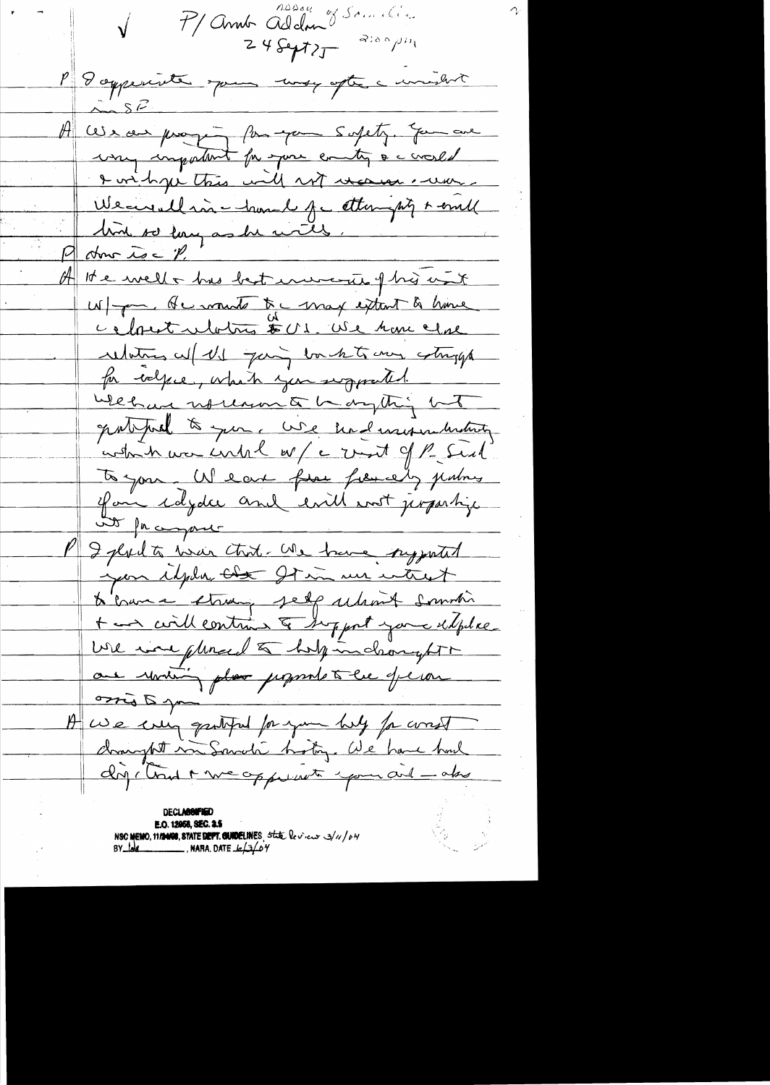P/Anne Alden J Samelin P 8 appeninte spaces may after a windown  $225$ A correct proping for your supety. You are way impatent for your entig a consent I wish ye this will not vecesse . where Weaverlain - hand for attempty + empl bird so largas de vites. P donc ise P. W/ par de monte te max extent à home cefout ulatres 501. We have close relations w/ US going bouch to any colonges for welface, which you supported. Webcar nothing to hangthing but gatified to you. We had marriedenting which was until  $w/e$  unt of  $l$  . Such to your. We can free fremely justing if an idyder and evil ent jerpertige at facement I plant was that Me have supported year idpla that It in un want to have strong self ulant soundi + and will contain & support your delphase We was pleased to help inclunght are uniting plan proposale tell de la A we crea gentified for your bulg for const dompt un Sandi hotog. We have had dry cloud + we opperate your and - also **DECLASSIFIED** E.O. 12058, SEC. 2.5 NSC MEMO, 11/24/08, STATE DEPT. GUNDELINES, State levieux 3/11/04